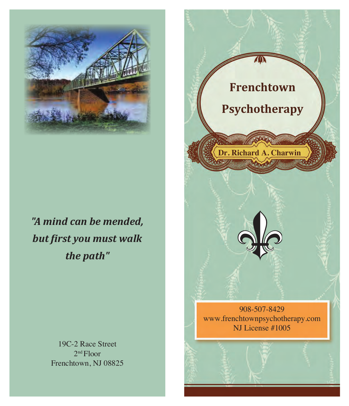

Dr. Charwin is Nationally Certified by the Dialectical Therapy National Certification and Accreditation

Frenchtown Psychotherapy offers support for a variety

 $\mathbb{Z}$  mind can be mand *"A mind can be mended,*  $b$ ut fingt vou must wa • Stress Management *but first you must walk the path"*

> 19C-2 Race Street  $2<sup>nd</sup> Floor$ Frenchtown, NJ 08825